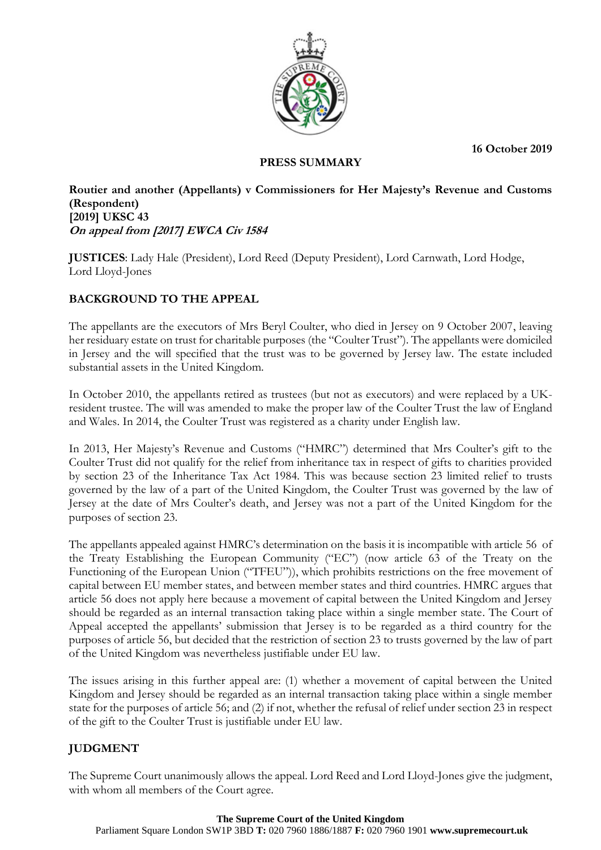**16 October 2019**



## **PRESS SUMMARY**

## **Routier and another (Appellants) v Commissioners for Her Majesty's Revenue and Customs (Respondent) [2019] UKSC 43 On appeal from [2017] EWCA Civ 1584**

**JUSTICES**: Lady Hale (President), Lord Reed (Deputy President), Lord Carnwath, Lord Hodge, Lord Lloyd-Jones

# **BACKGROUND TO THE APPEAL**

The appellants are the executors of Mrs Beryl Coulter, who died in Jersey on 9 October 2007, leaving her residuary estate on trust for charitable purposes (the "Coulter Trust"). The appellants were domiciled in Jersey and the will specified that the trust was to be governed by Jersey law. The estate included substantial assets in the United Kingdom.

In October 2010, the appellants retired as trustees (but not as executors) and were replaced by a UKresident trustee. The will was amended to make the proper law of the Coulter Trust the law of England and Wales. In 2014, the Coulter Trust was registered as a charity under English law.

In 2013, Her Majesty's Revenue and Customs ("HMRC") determined that Mrs Coulter's gift to the Coulter Trust did not qualify for the relief from inheritance tax in respect of gifts to charities provided by section 23 of the Inheritance Tax Act 1984. This was because section 23 limited relief to trusts governed by the law of a part of the United Kingdom, the Coulter Trust was governed by the law of Jersey at the date of Mrs Coulter's death, and Jersey was not a part of the United Kingdom for the purposes of section 23.

The appellants appealed against HMRC's determination on the basis it is incompatible with article 56 of the Treaty Establishing the European Community ("EC") (now article 63 of the Treaty on the Functioning of the European Union ("TFEU")), which prohibits restrictions on the free movement of capital between EU member states, and between member states and third countries. HMRC argues that article 56 does not apply here because a movement of capital between the United Kingdom and Jersey should be regarded as an internal transaction taking place within a single member state. The Court of Appeal accepted the appellants' submission that Jersey is to be regarded as a third country for the purposes of article 56, but decided that the restriction of section 23 to trusts governed by the law of part of the United Kingdom was nevertheless justifiable under EU law.

The issues arising in this further appeal are: (1) whether a movement of capital between the United Kingdom and Jersey should be regarded as an internal transaction taking place within a single member state for the purposes of article 56; and (2) if not, whether the refusal of relief under section 23 in respect of the gift to the Coulter Trust is justifiable under EU law.

## **JUDGMENT**

The Supreme Court unanimously allows the appeal. Lord Reed and Lord Lloyd-Jones give the judgment, with whom all members of the Court agree.

#### **The Supreme Court of the United Kingdom**

Parliament Square London SW1P 3BD **T:** 020 7960 1886/1887 **F:** 020 7960 1901 **www.supremecourt.uk**